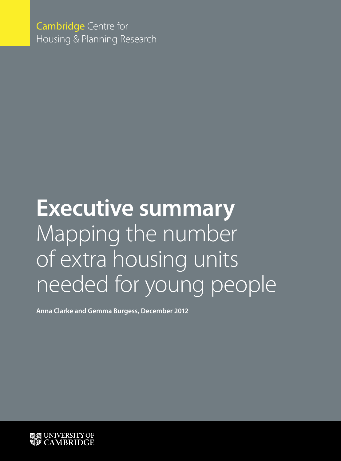Cambridge Centre for Housing & Planning Research

# **Executive summary** Mapping the number of extra housing units needed for young people

**Anna Clarke and Gemma Burgess, December 2012**

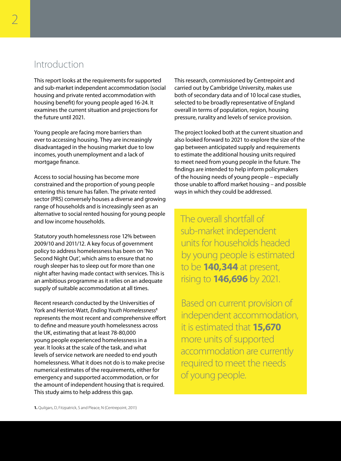## Introduction

This report looks at the requirements for supported and sub-market independent accommodation (social housing and private rented accommodation with housing benefit) for young people aged 16-24. It examines the current situation and projections for the future until 2021.

Young people are facing more barriers than ever to accessing housing. They are increasingly disadvantaged in the housing market due to low incomes, youth unemployment and a lack of mortgage finance.

Access to social housing has become more constrained and the proportion of young people entering this tenure has fallen. The private rented sector (PRS) conversely houses a diverse and growing range of households and is increasingly seen as an alternative to social rented housing for young people and low income households.

Statutory youth homelessness rose 12% between 2009/10 and 2011/12. A key focus of government policy to address homelessness has been on 'No Second Night Out', which aims to ensure that no rough sleeper has to sleep out for more than one night after having made contact with services. This is an ambitious programme as it relies on an adequate supply of suitable accommodation at all times.

Recent research conducted by the Universities of York and Herriot-Watt, *Ending Youth Homelessness***<sup>1</sup>** represents the most recent and comprehensive effort to define and measure youth homelessness across the UK, estimating that at least 78-80,000 young people experienced homelessness in a year. It looks at the scale of the task, and what levels of service network are needed to end youth homelessness. What it does not do is to make precise numerical estimates of the requirements, either for emergency and supported accommodation, or for the amount of independent housing that is required. This study aims to help address this gap.

This research, commissioned by Centrepoint and carried out by Cambridge University, makes use both of secondary data and of 10 local case studies, selected to be broadly representative of England overall in terms of population, region, housing pressure, rurality and levels of service provision.

The project looked both at the current situation and also looked forward to 2021 to explore the size of the gap between anticipated supply and requirements to estimate the additional housing units required to meet need from young people in the future. The findings are intended to help inform policymakers of the housing needs of young people – especially those unable to afford market housing – and possible ways in which they could be addressed.

The overall shortfall of sub-market independent units for households headed by young people is estimated to be **140,344** at present, rising to **146,696** by 2021.

Based on current provision of independent accommodation, it is estimated that **15,670** more units of supported accommodation are currently required to meet the needs of young people.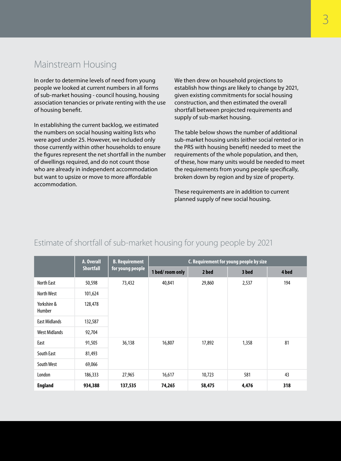# Mainstream Housing

In order to determine levels of need from young people we looked at current numbers in all forms of sub-market housing - council housing, housing association tenancies or private renting with the use of housing benefit.

In establishing the current backlog, we estimated the numbers on social housing waiting lists who were aged under 25. However, we included only those currently within other households to ensure the figures represent the net shortfall in the number of dwellings required, and do not count those who are already in independent accommodation but want to upsize or move to more affordable accommodation.

We then drew on household projections to establish how things are likely to change by 2021, given existing commitments for social housing construction, and then estimated the overall shortfall between projected requirements and supply of sub-market housing.

The table below shows the number of additional sub-market housing units (either social rented or in the PRS with housing benefit) needed to meet the requirements of the whole population, and then, of these, how many units would be needed to meet the requirements from young people specifically, broken down by region and by size of property.

These requirements are in addition to current planned supply of new social housing.

|  | A. Overall   B. Requirement | <b>C.</b> Requirement for young people by size |
|--|-----------------------------|------------------------------------------------|

Estimate of shortfall of sub-market housing for young people by 2021

|                       | A. Overall | <b>B.</b> Requirement | C. Requirement for young people by size |        |       |       |  |  |  |
|-----------------------|------------|-----------------------|-----------------------------------------|--------|-------|-------|--|--|--|
| <b>Shortfall</b>      |            | for young people      | 1 bed/room only                         | 2 bed  | 3 bed | 4 bed |  |  |  |
| North East            | 50,598     | 73,432                | 40,841                                  | 29,860 | 2,537 | 194   |  |  |  |
| North West            | 101,624    |                       |                                         |        |       |       |  |  |  |
| Yorkshire &<br>Humber | 128,478    |                       |                                         |        |       |       |  |  |  |
| <b>East Midlands</b>  | 132,587    |                       |                                         |        |       |       |  |  |  |
| <b>West Midlands</b>  | 92,704     |                       |                                         |        |       |       |  |  |  |
| East                  | 91,505     | 36,138                | 16,807                                  | 17,892 | 1,358 | 81    |  |  |  |
| South East            | 81,493     |                       |                                         |        |       |       |  |  |  |
| South West            | 69,066     |                       |                                         |        |       |       |  |  |  |
| London                | 186,333    | 27,965                | 16,617                                  | 10,723 | 581   | 43    |  |  |  |
| <b>England</b>        | 934,388    | 137,535               | 74,265                                  | 58,475 | 4,476 | 318   |  |  |  |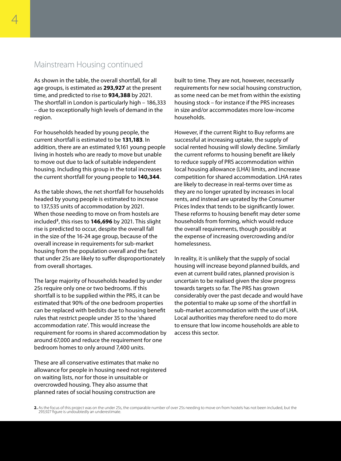#### Mainstream Housing continued

As shown in the table, the overall shortfall, for all age groups, is estimated as **293,927** at the present time, and predicted to rise to **934,388** by 2021. The shortfall in London is particularly high – 186,333 – due to exceptionally high levels of demand in the region.

For households headed by young people, the current shortfall is estimated to be **131,183**. In addition, there are an estimated 9,161 young people living in hostels who are ready to move but unable to move out due to lack of suitable independent housing. Including this group in the total increases the current shortfall for young people to **140,344**.

As the table shows, the net shortfall for households headed by young people is estimated to increase to 137,535 units of accommodation by 2021. When those needing to move on from hostels are included**<sup>2</sup>**, this rises to **146,696** by 2021. This slight rise is predicted to occur, despite the overall fall in the size of the 16-24 age group, because of the overall increase in requirements for sub-market housing from the population overall and the fact that under 25s are likely to suffer disproportionately from overall shortages.

The large majority of households headed by under 25s require only one or two bedrooms. If this shortfall is to be supplied within the PRS, it can be estimated that 90% of the one bedroom properties can be replaced with bedsits due to housing benefit rules that restrict people under 35 to the 'shared accommodation rate'. This would increase the requirement for rooms in shared accommodation by around 67,000 and reduce the requirement for one bedroom homes to only around 7,400 units.

These are all conservative estimates that make no allowance for people in housing need not registered on waiting lists, nor for those in unsuitable or overcrowded housing. They also assume that planned rates of social housing construction are

built to time. They are not, however, necessarily requirements for new social housing construction, as some need can be met from within the existing housing stock – for instance if the PRS increases in size and/or accommodates more low-income households.

However, if the current Right to Buy reforms are successful at increasing uptake, the supply of social rented housing will slowly decline. Similarly the current reforms to housing benefit are likely to reduce supply of PRS accommodation within local housing allowance (LHA) limits, and increase competition for shared accommodation. LHA rates are likely to decrease in real-terms over time as they are no longer uprated by increases in local rents, and instead are uprated by the Consumer Prices Index that tends to be significantly lower. These reforms to housing benefit may deter some households from forming, which would reduce the overall requirements, though possibly at the expense of increasing overcrowding and/or homelessness.

In reality, it is unlikely that the supply of social housing will increase beyond planned builds, and even at current build rates, planned provision is uncertain to be realised given the slow progress towards targets so far. The PRS has grown considerably over the past decade and would have the potential to make up some of the shortfall in sub-market accommodation with the use of LHA. Local authorities may therefore need to do more to ensure that low income households are able to access this sector.

**2.** As the focus of this project was on the under 25s, the comparable number of over 25s needing to move on from hostels has not been included, but the 293,927 figure is undoubtedly an underestimate.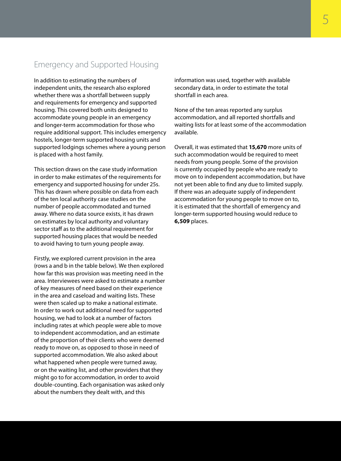### Emergency and Supported Housing

In addition to estimating the numbers of independent units, the research also explored whether there was a shortfall between supply and requirements for emergency and supported housing. This covered both units designed to accommodate young people in an emergency and longer-term accommodation for those who require additional support. This includes emergency hostels, longer-term supported housing units and supported lodgings schemes where a young person is placed with a host family.

This section draws on the case study information in order to make estimates of the requirements for emergency and supported housing for under 25s. This has drawn where possible on data from each of the ten local authority case studies on the number of people accommodated and turned away. Where no data source exists, it has drawn on estimates by local authority and voluntary sector staff as to the additional requirement for supported housing places that would be needed to avoid having to turn young people away.

Firstly, we explored current provision in the area (rows a and b in the table below). We then explored how far this was provision was meeting need in the area. Interviewees were asked to estimate a number of key measures of need based on their experience in the area and caseload and waiting lists. These were then scaled up to make a national estimate. In order to work out additional need for supported housing, we had to look at a number of factors including rates at which people were able to move to independent accommodation, and an estimate of the proportion of their clients who were deemed ready to move on, as opposed to those in need of supported accommodation. We also asked about what happened when people were turned away, or on the waiting list, and other providers that they might go to for accommodation, in order to avoid double-counting. Each organisation was asked only about the numbers they dealt with, and this

information was used, together with available secondary data, in order to estimate the total shortfall in each area.

None of the ten areas reported any surplus accommodation, and all reported shortfalls and waiting lists for at least some of the accommodation available.

Overall, it was estimated that **15,670** more units of such accommodation would be required to meet needs from young people. Some of the provision is currently occupied by people who are ready to move on to independent accommodation, but have not yet been able to find any due to limited supply. If there was an adequate supply of independent accommodation for young people to move on to, it is estimated that the shortfall of emergency and longer-term supported housing would reduce to **6,509** places.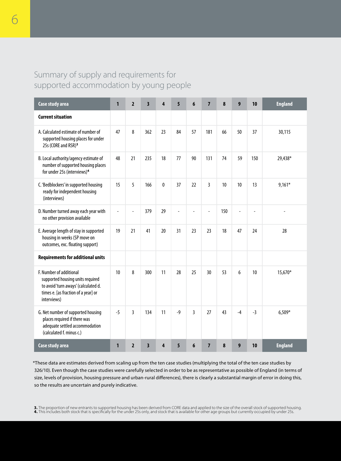# Summary of supply and requirements for supported accommodation by young people

| Case study area                                                                                                                                           | 1    | $\overline{2}$ | $\overline{\mathbf{3}}$ | 4  | 5              | 6              | $\overline{7}$ | 8   | 9              | 10             | <b>England</b> |
|-----------------------------------------------------------------------------------------------------------------------------------------------------------|------|----------------|-------------------------|----|----------------|----------------|----------------|-----|----------------|----------------|----------------|
| <b>Current situation</b>                                                                                                                                  |      |                |                         |    |                |                |                |     |                |                |                |
| A. Calculated estimate of number of<br>supported housing places for under<br>25s (CORE and RSR) <sup>3</sup>                                              | 47   | 8              | 362                     | 23 | 84             | 57             | 181            | 66  | 50             | 37             | 30.115         |
| B. Local authority/agency estimate of<br>number of supported housing places<br>for under 25s (interviews) <sup>4</sup>                                    | 48   | 21             | 235                     | 18 | 77             | 90             | 131            | 74  | 59             | 150            | 29,438*        |
| C. 'Bedblockers' in supported housing<br>ready for independent housing<br>(interviews)                                                                    | 15   | 5              | 166                     | 0  | 37             | 22             | $\overline{3}$ | 10  | 10             | 13             | $9.161*$       |
| D. Number turned away each year with<br>no other provision available                                                                                      |      |                | 379                     | 29 | $\overline{a}$ | $\overline{a}$ | $\overline{a}$ | 150 | $\overline{a}$ | $\overline{a}$ |                |
| E. Average length of stay in supported<br>housing in weeks (SP move on<br>outcomes, exc. floating support)                                                | 19   | 21             | 41                      | 20 | 31             | 23             | 23             | 18  | 47             | 24             | 28             |
| <b>Requirements for additional units</b>                                                                                                                  |      |                |                         |    |                |                |                |     |                |                |                |
| F. Number of additional<br>supported housing units required<br>to avoid 'turn aways' (calculated d.<br>times e. [as fraction of a year] or<br>interviews) | 10   | 8              | 300                     | 11 | 28             | 25             | 30             | 53  | 6              | 10             | 15,670*        |
| G. Net number of supported housing<br>places required if there was<br>adequate settled accommodation<br>(calculated f. minus c.)                          | $-5$ | 3              | 134                     | 11 | $-9$           | 3              | 27             | 43  | $-4$           | $-3$           | $6,509*$       |
| Case study area                                                                                                                                           | 1    | $\overline{2}$ | $\overline{\mathbf{3}}$ | 4  | 5              | 6              | $\overline{7}$ | 8   | 9              | 10             | <b>England</b> |

\*These data are estimates derived from scaling up from the ten case studies (multiplying the total of the ten case studies by 326/10). Even though the case studies were carefully selected in order to be as representative as possible of England (in terms of size, levels of provision, housing pressure and urban-rural differences), there is clearly a substantial margin of error in doing this, so the results are uncertain and purely indicative.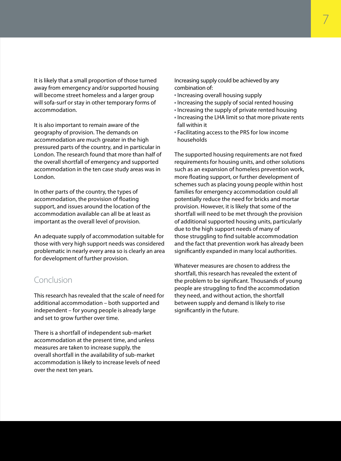It is likely that a small proportion of those turned away from emergency and/or supported housing will become street homeless and a larger group will sofa-surf or stay in other temporary forms of accommodation.

It is also important to remain aware of the geography of provision. The demands on accommodation are much greater in the high pressured parts of the country, and in particular in London. The research found that more than half of the overall shortfall of emergency and supported accommodation in the ten case study areas was in London.

In other parts of the country, the types of accommodation, the provision of floating support, and issues around the location of the accommodation available can all be at least as important as the overall level of provision.

An adequate supply of accommodation suitable for those with very high support needs was considered problematic in nearly every area so is clearly an area for development of further provision.

## Conclusion

This research has revealed that the scale of need for additional accommodation – both supported and independent – for young people is already large and set to grow further over time.

There is a shortfall of independent sub-market accommodation at the present time, and unless measures are taken to increase supply, the overall shortfall in the availability of sub-market accommodation is likely to increase levels of need over the next ten years.

Increasing supply could be achieved by any combination of:

- Increasing overall housing supply
- Increasing the supply of social rented housing
- Increasing the supply of private rented housing
- Increasing the LHA limit so that more private rents fall within it
- Facilitating access to the PRS for low income households

The supported housing requirements are not fixed requirements for housing units, and other solutions such as an expansion of homeless prevention work, more floating support, or further development of schemes such as placing young people within host families for emergency accommodation could all potentially reduce the need for bricks and mortar provision. However, it is likely that some of the shortfall will need to be met through the provision of additional supported housing units, particularly due to the high support needs of many of those struggling to find suitable accommodation and the fact that prevention work has already been significantly expanded in many local authorities.

Whatever measures are chosen to address the shortfall, this research has revealed the extent of the problem to be significant. Thousands of young people are struggling to find the accommodation they need, and without action, the shortfall between supply and demand is likely to rise significantly in the future.